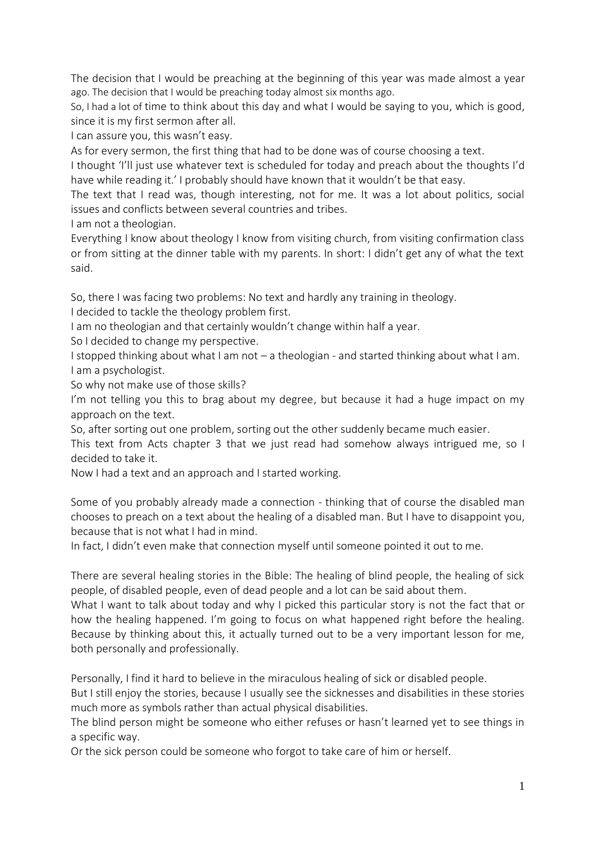The decision that I would be preaching at the beginning of this year was made almost a year ago. The decision that I would be preaching today almost six months ago.

So, I had a lot of time to think about this day and what I would be saying to you, which is good, since it is my first sermon after all.

I can assure you, this wasn't easy.

As for every sermon, the first thing that had to be done was of course choosing a text.

I thought 'I'll just use whatever text is scheduled for today and preach about the thoughts I'd have while reading it.' I probably should have known that it wouldn't be that easy.

The text that I read was, though interesting, not for me. It was a lot about politics, social issues and conflicts between several countries and tribes.

I am not a theologian.

Everything I know about theology I know from visiting church, from visiting confirmation class or from sitting at the dinner table with my parents. In short: I didn't get any of what the text said.

So, there I was facing two problems: No text and hardly any training in theology.

I decided to tackle the theology problem first.

I am no theologian and that certainly wouldn't change within half a year.

So I decided to change my perspective.

I stopped thinking about what I am not – a theologian - and started thinking about what I am. I am a psychologist.

So why not make use of those skills?

I'm not telling you this to brag about my degree, but because it had a huge impact on my approach on the text.

So, after sorting out one problem, sorting out the other suddenly became much easier.

This text from Acts chapter 3 that we just read had somehow always intrigued me, so I decided to take it.

Now I had a text and an approach and I started working.

Some of you probably already made a connection - thinking that of course the disabled man chooses to preach on a text about the healing of a disabled man. But I have to disappoint you, because that is not what I had in mind.

In fact, I didn't even make that connection myself until someone pointed it out to me.

There are several healing stories in the Bible: The healing of blind people, the healing of sick people, of disabled people, even of dead people and a lot can be said about them.

What I want to talk about today and why I picked this particular story is not the fact that or how the healing happened. I'm going to focus on what happened right before the healing. Because by thinking about this, it actually turned out to be a very important lesson for me, both personally and professionally.

Personally, I find it hard to believe in the miraculous healing of sick or disabled people.

But I still enjoy the stories, because I usually see the sicknesses and disabilities in these stories much more as symbols rather than actual physical disabilities.

The blind person might be someone who either refuses or hasn't learned yet to see things in a specific way.

Or the sick person could be someone who forgot to take care of him or herself.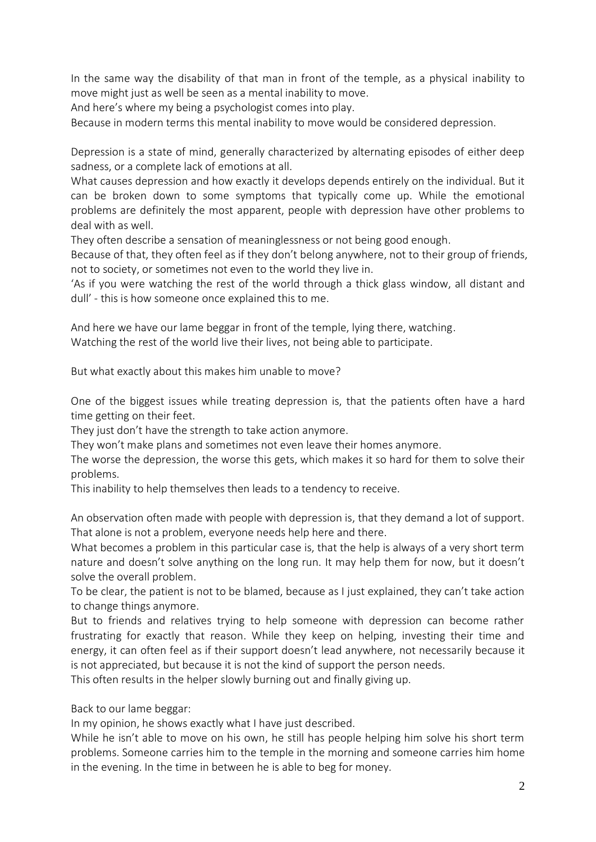In the same way the disability of that man in front of the temple, as a physical inability to move might just as well be seen as a mental inability to move.

And here's where my being a psychologist comes into play.

Because in modern terms this mental inability to move would be considered depression.

Depression is a state of mind, generally characterized by alternating episodes of either deep sadness, or a complete lack of emotions at all.

What causes depression and how exactly it develops depends entirely on the individual. But it can be broken down to some symptoms that typically come up. While the emotional problems are definitely the most apparent, people with depression have other problems to deal with as well.

They often describe a sensation of meaninglessness or not being good enough.

Because of that, they often feel as if they don't belong anywhere, not to their group of friends, not to society, or sometimes not even to the world they live in.

'As if you were watching the rest of the world through a thick glass window, all distant and dull' - this is how someone once explained this to me.

And here we have our lame beggar in front of the temple, lying there, watching.

Watching the rest of the world live their lives, not being able to participate.

But what exactly about this makes him unable to move?

One of the biggest issues while treating depression is, that the patients often have a hard time getting on their feet.

They just don't have the strength to take action anymore.

They won't make plans and sometimes not even leave their homes anymore.

The worse the depression, the worse this gets, which makes it so hard for them to solve their problems.

This inability to help themselves then leads to a tendency to receive.

An observation often made with people with depression is, that they demand a lot of support. That alone is not a problem, everyone needs help here and there.

What becomes a problem in this particular case is, that the help is always of a very short term nature and doesn't solve anything on the long run. It may help them for now, but it doesn't solve the overall problem.

To be clear, the patient is not to be blamed, because as I just explained, they can't take action to change things anymore.

But to friends and relatives trying to help someone with depression can become rather frustrating for exactly that reason. While they keep on helping, investing their time and energy, it can often feel as if their support doesn't lead anywhere, not necessarily because it is not appreciated, but because it is not the kind of support the person needs.

This often results in the helper slowly burning out and finally giving up.

Back to our lame beggar:

In my opinion, he shows exactly what I have just described.

While he isn't able to move on his own, he still has people helping him solve his short term problems. Someone carries him to the temple in the morning and someone carries him home in the evening. In the time in between he is able to beg for money.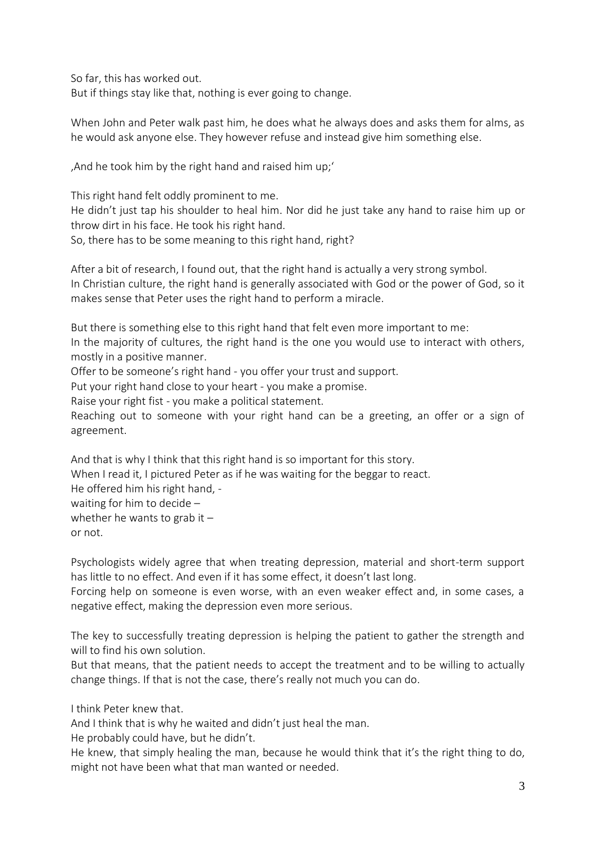So far, this has worked out. But if things stay like that, nothing is ever going to change.

When John and Peter walk past him, he does what he always does and asks them for alms, as he would ask anyone else. They however refuse and instead give him something else.

'And he took him by the right hand and raised him up;'

This right hand felt oddly prominent to me. He didn't just tap his shoulder to heal him. Nor did he just take any hand to raise him up or throw dirt in his face. He took his right hand. So, there has to be some meaning to this right hand, right?

After a bit of research, I found out, that the right hand is actually a very strong symbol. In Christian culture, the right hand is generally associated with God or the power of God, so it makes sense that Peter uses the right hand to perform a miracle.

But there is something else to this right hand that felt even more important to me: In the majority of cultures, the right hand is the one you would use to interact with others, mostly in a positive manner.

Offer to be someone's right hand - you offer your trust and support.

Put your right hand close to your heart - you make a promise.

Raise your right fist - you make a political statement.

Reaching out to someone with your right hand can be a greeting, an offer or a sign of agreement.

And that is why I think that this right hand is so important for this story. When I read it, I pictured Peter as if he was waiting for the beggar to react. He offered him his right hand, waiting for him to decide – whether he wants to grab it  $$ or not.

Psychologists widely agree that when treating depression, material and short-term support has little to no effect. And even if it has some effect, it doesn't last long.

Forcing help on someone is even worse, with an even weaker effect and, in some cases, a negative effect, making the depression even more serious.

The key to successfully treating depression is helping the patient to gather the strength and will to find his own solution.

But that means, that the patient needs to accept the treatment and to be willing to actually change things. If that is not the case, there's really not much you can do.

I think Peter knew that.

And I think that is why he waited and didn't just heal the man.

He probably could have, but he didn't.

He knew, that simply healing the man, because he would think that it's the right thing to do, might not have been what that man wanted or needed.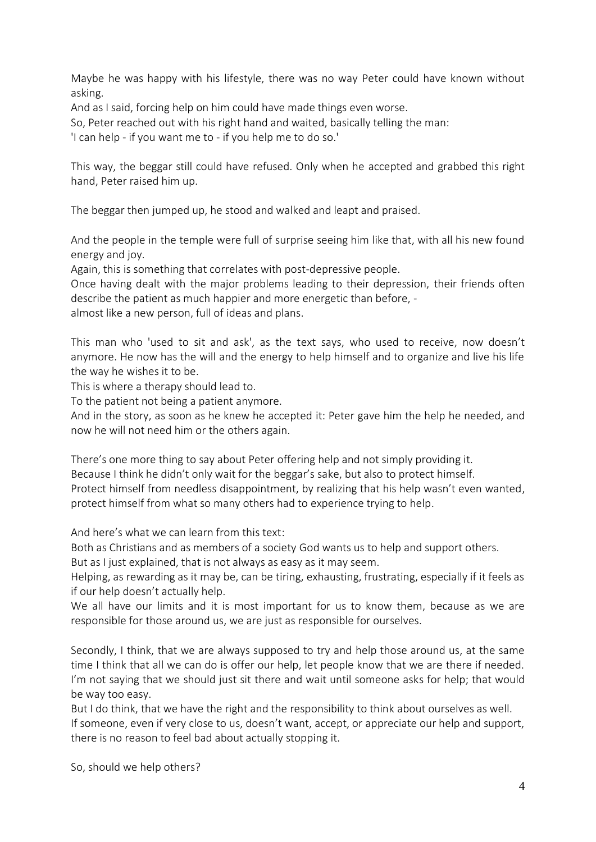Maybe he was happy with his lifestyle, there was no way Peter could have known without asking.

And as I said, forcing help on him could have made things even worse.

So, Peter reached out with his right hand and waited, basically telling the man:

'I can help - if you want me to - if you help me to do so.'

This way, the beggar still could have refused. Only when he accepted and grabbed this right hand, Peter raised him up.

The beggar then jumped up, he stood and walked and leapt and praised.

And the people in the temple were full of surprise seeing him like that, with all his new found energy and joy.

Again, this is something that correlates with post-depressive people.

Once having dealt with the major problems leading to their depression, their friends often describe the patient as much happier and more energetic than before, -

almost like a new person, full of ideas and plans.

This man who 'used to sit and ask', as the text says, who used to receive, now doesn't anymore. He now has the will and the energy to help himself and to organize and live his life the way he wishes it to be.

This is where a therapy should lead to.

To the patient not being a patient anymore.

And in the story, as soon as he knew he accepted it: Peter gave him the help he needed, and now he will not need him or the others again.

There's one more thing to say about Peter offering help and not simply providing it. Because I think he didn't only wait for the beggar's sake, but also to protect himself. Protect himself from needless disappointment, by realizing that his help wasn't even wanted, protect himself from what so many others had to experience trying to help.

And here's what we can learn from this text:

Both as Christians and as members of a society God wants us to help and support others.

But as I just explained, that is not always as easy as it may seem.

Helping, as rewarding as it may be, can be tiring, exhausting, frustrating, especially if it feels as if our help doesn't actually help.

We all have our limits and it is most important for us to know them, because as we are responsible for those around us, we are just as responsible for ourselves.

Secondly, I think, that we are always supposed to try and help those around us, at the same time I think that all we can do is offer our help, let people know that we are there if needed. I'm not saying that we should just sit there and wait until someone asks for help; that would be way too easy.

But I do think, that we have the right and the responsibility to think about ourselves as well. If someone, even if very close to us, doesn't want, accept, or appreciate our help and support, there is no reason to feel bad about actually stopping it.

So, should we help others?